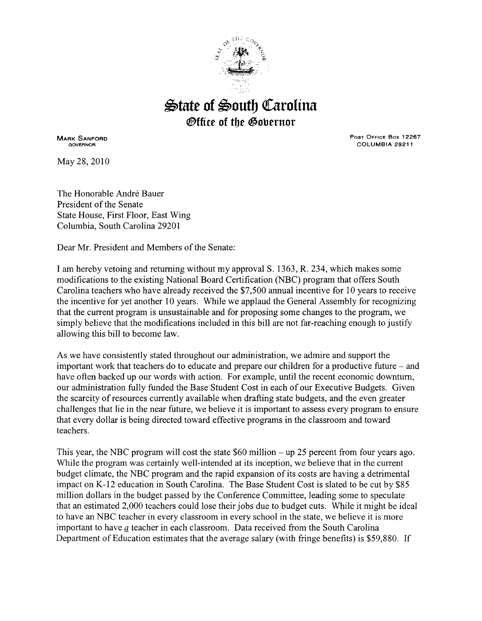

## $\triangle$ tate of  $\triangle$ outh Carolina *®ffice of the Gobernor*

MARK SANFORD GOVERNOR

May28, 2010

Post Office Box 12267 COLUMBIA 29211

The Honorable André Bauer President of the Senate State House, First Floor, East Wing Columbia, South Carolina 29201

Dear Mr. President and Members of the Senate:

I am hereby vetoing and returning without my approval S. 1363, R. 234, which makes some modifications to the existing National Board Certification (NBC) program that offers South Carolina teachers who have already received the \$7,500 annual incentive for 10 years to receive the incentive for yet another 10 years. While we applaud the General Assembly for recognizing that the current program is unsustainable and for proposing some changes to the program, we simply believe that the modifications included in this bill are not far-reaching enough to justify allowing this bill to become law.

As we have consistently stated throughout our administration, we admire and support the important work that teachers do to educate and prepare our children for a productive future - and have often backed up our words with action. For example, until the recent economic downturn, our administration fully funded the Base Student Cost in each of our Executive Budgets. Given the scarcity of resources currently available when drafting state budgets, and the even greater challenges that lie in the near future, we believe it is important to assess every program to ensure that every dollar is being directed toward effective programs in the classroom and toward teachers.

This year, the NBC program will cost the state \$60 million- up 25 percent from four years ago. While the program was certainly well-intended at its inception, we believe that in the current budget climate, the NBC program and the rapid expansion of its costs are having a detrimental impact on K-12 education in South Carolina. The Base Student Cost is slated to be cut by \$85 million dollars in the budget passed by the Conference Committee, leading some to speculate that an estimated 2,000 teachers could lose their jobs due to budget cuts. While it might be ideal to have an NBC teacher in every classroom in every school in the state, we believe it is more important to have *a* teacher in each classroom. Data received from the South Carolina Department of Education estimates that the average salary (with fringe benefits) is \$59,880. If